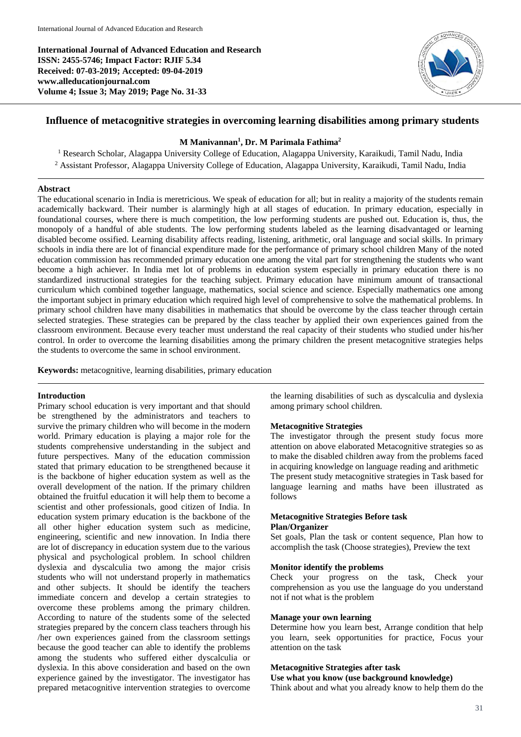**International Journal of Advanced Education and Research ISSN: 2455-5746; Impact Factor: RJIF 5.34 Received: 07-03-2019; Accepted: 09-04-2019 www.alleducationjournal.com Volume 4; Issue 3; May 2019; Page No. 31-33**



# **Influence of metacognitive strategies in overcoming learning disabilities among primary students**

## **M Manivannan<sup>1</sup> , Dr. M Parimala Fathima<sup>2</sup>**

<sup>1</sup> Research Scholar, Alagappa University College of Education, Alagappa University, Karaikudi, Tamil Nadu, India <sup>2</sup> Assistant Professor, Alagappa University College of Education, Alagappa University, Karaikudi, Tamil Nadu, India

## **Abstract**

The educational scenario in India is meretricious. We speak of education for all; but in reality a majority of the students remain academically backward. Their number is alarmingly high at all stages of education. In primary education, especially in foundational courses, where there is much competition, the low performing students are pushed out. Education is, thus, the monopoly of a handful of able students. The low performing students labeled as the learning disadvantaged or learning disabled become ossified. Learning disability affects reading, listening, arithmetic, oral language and social skills. In primary schools in india there are lot of financial expenditure made for the performance of primary school children Many of the noted education commission has recommended primary education one among the vital part for strengthening the students who want become a high achiever. In India met lot of problems in education system especially in primary education there is no standardized instructional strategies for the teaching subject. Primary education have minimum amount of transactional curriculum which combined together language, mathematics, social science and science. Especially mathematics one among the important subject in primary education which required high level of comprehensive to solve the mathematical problems. In primary school children have many disabilities in mathematics that should be overcome by the class teacher through certain selected strategies. These strategies can be prepared by the class teacher by applied their own experiences gained from the classroom environment. Because every teacher must understand the real capacity of their students who studied under his/her control. In order to overcome the learning disabilities among the primary children the present metacognitive strategies helps the students to overcome the same in school environment.

**Keywords:** metacognitive, learning disabilities, primary education

### **Introduction**

Primary school education is very important and that should be strengthened by the administrators and teachers to survive the primary children who will become in the modern world. Primary education is playing a major role for the students comprehensive understanding in the subject and future perspectives. Many of the education commission stated that primary education to be strengthened because it is the backbone of higher education system as well as the overall development of the nation. If the primary children obtained the fruitful education it will help them to become a scientist and other professionals, good citizen of India. In education system primary education is the backbone of the all other higher education system such as medicine, engineering, scientific and new innovation. In India there are lot of discrepancy in education system due to the various physical and psychological problem. In school children dyslexia and dyscalculia two among the major crisis students who will not understand properly in mathematics and other subjects. It should be identify the teachers immediate concern and develop a certain strategies to overcome these problems among the primary children. According to nature of the students some of the selected strategies prepared by the concern class teachers through his /her own experiences gained from the classroom settings because the good teacher can able to identify the problems among the students who suffered either dyscalculia or dyslexia. In this above consideration and based on the own experience gained by the investigator. The investigator has prepared metacognitive intervention strategies to overcome

the learning disabilities of such as dyscalculia and dyslexia among primary school children.

### **Metacognitive Strategies**

The investigator through the present study focus more attention on above elaborated Metacognitive strategies so as to make the disabled children away from the problems faced in acquiring knowledge on language reading and arithmetic The present study metacognitive strategies in Task based for language learning and maths have been illustrated as follows

# **Metacognitive Strategies Before task Plan/Organizer**

Set goals, Plan the task or content sequence, Plan how to accomplish the task (Choose strategies), Preview the text

### **Monitor identify the problems**

Check your progress on the task, Check your comprehension as you use the language do you understand not if not what is the problem

# **Manage your own learning**

Determine how you learn best, Arrange condition that help you learn, seek opportunities for practice, Focus your attention on the task

### **Metacognitive Strategies after task**

**Use what you know (use background knowledge)**

Think about and what you already know to help them do the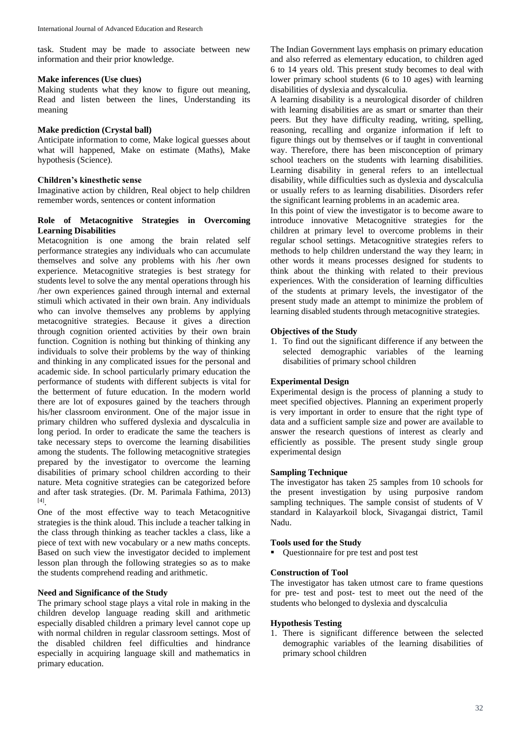task. Student may be made to associate between new information and their prior knowledge.

### **Make inferences (Use clues)**

Making students what they know to figure out meaning, Read and listen between the lines, Understanding its meaning

## **Make prediction (Crystal ball)**

Anticipate information to come, Make logical guesses about what will happened, Make on estimate (Maths), Make hypothesis (Science).

# **Children's kinesthetic sense**

Imaginative action by children, Real object to help children remember words, sentences or content information

## **Role of Metacognitive Strategies in Overcoming Learning Disabilities**

Metacognition is one among the brain related self performance strategies any individuals who can accumulate themselves and solve any problems with his /her own experience. Metacognitive strategies is best strategy for students level to solve the any mental operations through his /her own experiences gained through internal and external stimuli which activated in their own brain. Any individuals who can involve themselves any problems by applying metacognitive strategies. Because it gives a direction through cognition oriented activities by their own brain function. Cognition is nothing but thinking of thinking any individuals to solve their problems by the way of thinking and thinking in any complicated issues for the personal and academic side. In school particularly primary education the performance of students with different subjects is vital for the betterment of future education. In the modern world there are lot of exposures gained by the teachers through his/her classroom environment. One of the major issue in primary children who suffered dyslexia and dyscalculia in long period. In order to eradicate the same the teachers is take necessary steps to overcome the learning disabilities among the students. The following metacognitive strategies prepared by the investigator to overcome the learning disabilities of primary school children according to their nature. Meta cognitive strategies can be categorized before and after task strategies. (Dr. M. Parimala Fathima, 2013) [4] .

One of the most effective way to teach Metacognitive strategies is the think aloud. This include a teacher talking in the class through thinking as teacher tackles a class, like a piece of text with new vocabulary or a new maths concepts. Based on such view the investigator decided to implement lesson plan through the following strategies so as to make the students comprehend reading and arithmetic.

# **Need and Significance of the Study**

The primary school stage plays a vital role in making in the children develop language reading skill and arithmetic especially disabled children a primary level cannot cope up with normal children in regular classroom settings. Most of the disabled children feel difficulties and hindrance especially in acquiring language skill and mathematics in primary education.

The Indian Government lays emphasis on primary education and also referred as elementary education, to children aged 6 to 14 years old. This present study becomes to deal with lower primary school students (6 to 10 ages) with learning disabilities of dyslexia and dyscalculia.

A learning disability is a neurological disorder of children with learning disabilities are as smart or smarter than their peers. But they have difficulty reading, writing, spelling, reasoning, recalling and organize information if left to figure things out by themselves or if taught in conventional way. Therefore, there has been misconception of primary school teachers on the students with learning disabilities. Learning disability in general refers to an intellectual disability, while difficulties such as dyslexia and dyscalculia or usually refers to as learning disabilities. Disorders refer the significant learning problems in an academic area.

In this point of view the investigator is to become aware to introduce innovative Metacognitive strategies for the children at primary level to overcome problems in their regular school settings. Metacognitive strategies refers to methods to help children understand the way they learn; in other words it means processes designed for students to think about the thinking with related to their previous experiences. With the consideration of learning difficulties of the students at primary levels, the investigator of the present study made an attempt to minimize the problem of learning disabled students through metacognitive strategies.

## **Objectives of the Study**

1. To find out the significant difference if any between the selected demographic variables of the learning disabilities of primary school children

# **Experimental Design**

Experimental design is the process of planning a study to meet specified objectives. Planning an experiment properly is very important in order to ensure that the right type of data and a sufficient sample size and power are available to answer the research questions of interest as clearly and efficiently as possible. The present study single group experimental design

### **Sampling Technique**

The investigator has taken 25 samples from 10 schools for the present investigation by using purposive random sampling techniques. The sample consist of students of V standard in Kalayarkoil block, Sivagangai district, Tamil Nadu.

# **Tools used for the Study**

■ Questionnaire for pre test and post test

## **Construction of Tool**

The investigator has taken utmost care to frame questions for pre- test and post- test to meet out the need of the students who belonged to dyslexia and dyscalculia

### **Hypothesis Testing**

1. There is significant difference between the selected demographic variables of the learning disabilities of primary school children